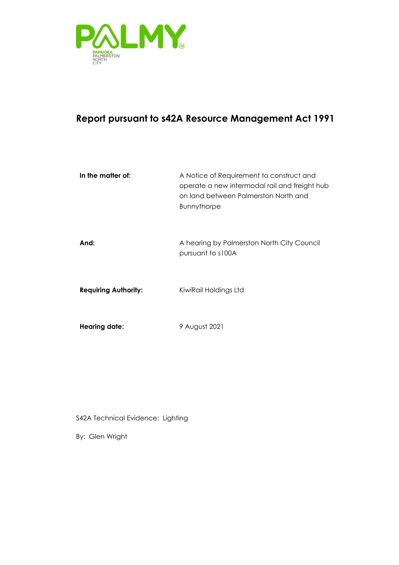

### **Report pursuant to s42A Resource Management Act 1991**

| In the matter of:           | A Notice of Requirement to construct and<br>operate a new intermodal rail and freight hub<br>on land between Palmerston North and<br><b>Bunnythorpe</b> |
|-----------------------------|---------------------------------------------------------------------------------------------------------------------------------------------------------|
| And:                        | A hearing by Palmerston North City Council<br>pursuant to s100A                                                                                         |
| <b>Requiring Authority:</b> | KiwiRail Holdings Ltd                                                                                                                                   |
| <b>Hearing date:</b>        | 9 August 2021                                                                                                                                           |

S42A Technical Evidence: Lighting

By: Glen Wright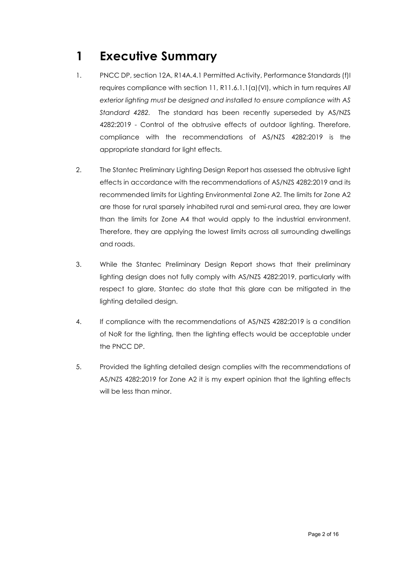# <span id="page-1-0"></span>**1 Executive Summary**

- 1. PNCC DP, section 12A, R14A.4.1 Permitted Activity, Performance Standards (f)I requires compliance with section 11, R11.6.1.1(a)(VI), which in turn requires *All exterior lighting must be designed and installed to ensure compliance with AS Standard 4282.* The standard has been recently superseded by AS/NZS 4282:2019 - Control of the obtrusive effects of outdoor lighting. Therefore, compliance with the recommendations of AS/NZS 4282:2019 is the appropriate standard for light effects.
- 2. The Stantec Preliminary Lighting Design Report has assessed the obtrusive light effects in accordance with the recommendations of AS/NZS 4282:2019 and its recommended limits for Lighting Environmental Zone A2. The limits for Zone A2 are those for rural sparsely inhabited rural and semi-rural area, they are lower than the limits for Zone A4 that would apply to the industrial environment. Therefore, they are applying the lowest limits across all surrounding dwellings and roads.
- 3. While the Stantec Preliminary Design Report shows that their preliminary lighting design does not fully comply with AS/NZS 4282:2019, particularly with respect to glare, Stantec do state that this glare can be mitigated in the lighting detailed design.
- 4. If compliance with the recommendations of AS/NZS 4282:2019 is a condition of NoR for the lighting, then the lighting effects would be acceptable under the PNCC DP.
- 5. Provided the lighting detailed design complies with the recommendations of AS/NZS 4282:2019 for Zone A2 it is my expert opinion that the lighting effects will be less than minor.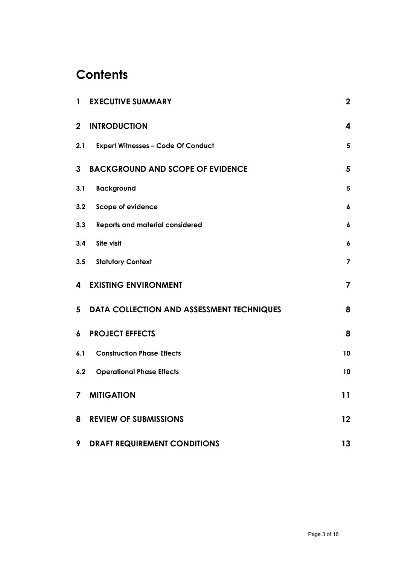## **Contents**

| $\mathbf{1}$     | <b>EXECUTIVE SUMMARY</b>                    |                         |
|------------------|---------------------------------------------|-------------------------|
| $\mathbf{2}$     | <b>INTRODUCTION</b>                         | 4                       |
| 2.1              | <b>Expert Witnesses - Code Of Conduct</b>   | $\overline{\mathbf{5}}$ |
| 3                | <b>BACKGROUND AND SCOPE OF EVIDENCE</b>     |                         |
| 3.1              | <b>Background</b>                           | $\sqrt{5}$              |
| 3.2              | <b>Scope of evidence</b>                    | $\pmb{6}$               |
| 3.3              | <b>Reports and material considered</b>      | $\boldsymbol{6}$        |
| 3.4              | Site visit                                  | 6                       |
| 3.5              | <b>Statutory Context</b>                    | 7                       |
| 4                | <b>EXISTING ENVIRONMENT</b>                 | $\overline{\mathbf{z}}$ |
|                  | 5 DATA COLLECTION AND ASSESSMENT TECHNIQUES | 8                       |
| $\boldsymbol{6}$ | <b>PROJECT EFFECTS</b>                      | 8                       |
| 6.1              | <b>Construction Phase Effects</b>           | 10                      |
|                  | <b>6.2 Operational Phase Effects</b>        | 10                      |
|                  | <b>7 MITIGATION</b>                         | 11                      |
| 8                | <b>REVIEW OF SUBMISSIONS</b>                |                         |
| 9                | <b>DRAFT REQUIREMENT CONDITIONS</b>         | 13                      |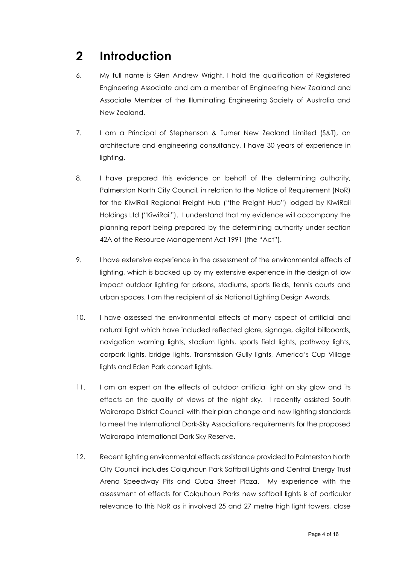## <span id="page-3-0"></span>**2 Introduction**

- 6. My full name is Glen Andrew Wright. I hold the qualification of Registered Engineering Associate and am a member of Engineering New Zealand and Associate Member of the Illuminating Engineering Society of Australia and New Zealand.
- 7. I am a Principal of Stephenson & Turner New Zealand Limited (S&T), an architecture and engineering consultancy, I have 30 years of experience in lighting.
- 8. I have prepared this evidence on behalf of the determining authority, Palmerston North City Council, in relation to the Notice of Requirement (NoR) for the KiwiRail Regional Freight Hub ("the Freight Hub") lodged by KiwiRail Holdings Ltd ("KiwiRail"). I understand that my evidence will accompany the planning report being prepared by the determining authority under section 42A of the Resource Management Act 1991 (the "Act").
- 9. I have extensive experience in the assessment of the environmental effects of lighting, which is backed up by my extensive experience in the design of low impact outdoor lighting for prisons, stadiums, sports fields, tennis courts and urban spaces. I am the recipient of six National Lighting Design Awards.
- 10. I have assessed the environmental effects of many aspect of artificial and natural light which have included reflected glare, signage, digital billboards, navigation warning lights, stadium lights, sports field lights, pathway lights, carpark lights, bridge lights, Transmission Gully lights, America's Cup Village lights and Eden Park concert lights.
- 11. I am an expert on the effects of outdoor artificial light on sky glow and its effects on the quality of views of the night sky. I recently assisted South Wairarapa District Council with their plan change and new lighting standards to meet the International Dark-Sky Associations requirements for the proposed Wairarapa International Dark Sky Reserve.
- 12. Recent lighting environmental effects assistance provided to Palmerston North City Council includes Colquhoun Park Softball Lights and Central Energy Trust Arena Speedway Pits and Cuba Street Plaza. My experience with the assessment of effects for Colquhoun Parks new softball lights is of particular relevance to this NoR as it involved 25 and 27 metre high light towers, close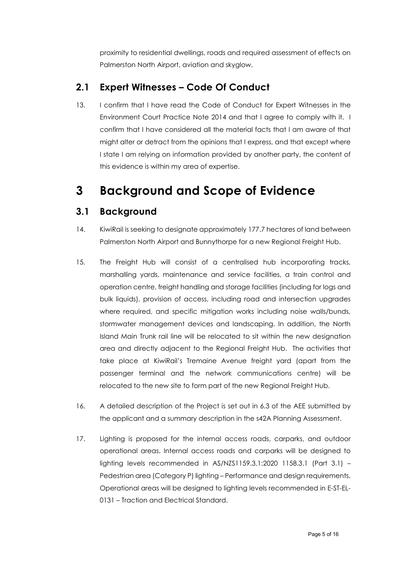proximity to residential dwellings, roads and required assessment of effects on Palmerston North Airport, aviation and skyglow.

### <span id="page-4-0"></span>**2.1 Expert Witnesses – Code Of Conduct**

13. I confirm that I have read the Code of Conduct for Expert Witnesses in the Environment Court Practice Note 2014 and that I agree to comply with it. I confirm that I have considered all the material facts that I am aware of that might alter or detract from the opinions that I express, and that except where I state I am relying on information provided by another party, the content of this evidence is within my area of expertise.

## <span id="page-4-1"></span>**3 Background and Scope of Evidence**

### <span id="page-4-2"></span>**3.1 Background**

- 14. KiwiRail is seeking to designate approximately 177.7 hectares of land between Palmerston North Airport and Bunnythorpe for a new Regional Freight Hub.
- 15. The Freight Hub will consist of a centralised hub incorporating tracks, marshalling yards, maintenance and service facilities, a train control and operation centre, freight handling and storage facilities (including for logs and bulk liquids), provision of access, including road and intersection upgrades where required, and specific mitigation works including noise walls/bunds, stormwater management devices and landscaping. In addition, the North Island Main Trunk rail line will be relocated to sit within the new designation area and directly adjacent to the Regional Freight Hub. The activities that take place at KiwiRail's Tremaine Avenue freight yard (apart from the passenger terminal and the network communications centre) will be relocated to the new site to form part of the new Regional Freight Hub.
- 16. A detailed description of the Project is set out in 6.3 of the AEE submitted by the applicant and a summary description in the s42A Planning Assessment.
- 17. Lighting is proposed for the internal access roads, carparks, and outdoor operational areas. Internal access roads and carparks will be designed to lighting levels recommended in AS/NZS1159.3.1:2020 1158.3.1 (Part 3.1) – Pedestrian area (Category P) lighting – Performance and design requirements. Operational areas will be designed to lighting levels recommended in E-ST-EL-0131 – Traction and Electrical Standard.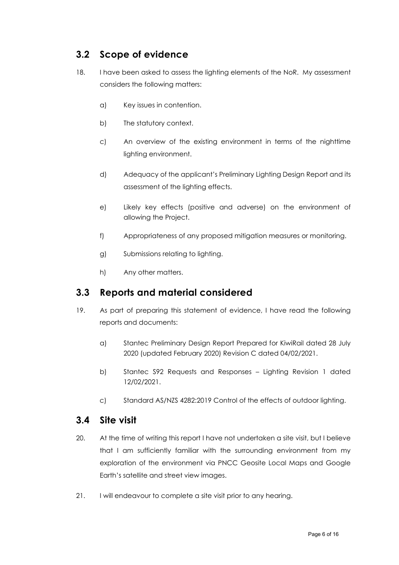### <span id="page-5-0"></span>**3.2 Scope of evidence**

- 18. I have been asked to assess the lighting elements of the NoR. My assessment considers the following matters:
	- a) Key issues in contention.
	- b) The statutory context.
	- c) An overview of the existing environment in terms of the nighttime lighting environment.
	- d) Adequacy of the applicant's Preliminary Lighting Design Report and its assessment of the lighting effects.
	- e) Likely key effects (positive and adverse) on the environment of allowing the Project.
	- f) Appropriateness of any proposed mitigation measures or monitoring.
	- g) Submissions relating to lighting.
	- h) Any other matters.

#### <span id="page-5-1"></span>**3.3 Reports and material considered**

- 19. As part of preparing this statement of evidence, I have read the following reports and documents:
	- a) Stantec Preliminary Design Report Prepared for KiwiRail dated 28 July 2020 (updated February 2020) Revision C dated 04/02/2021.
	- b) Stantec S92 Requests and Responses Lighting Revision 1 dated 12/02/2021.
	- c) Standard AS/NZS 4282:2019 Control of the effects of outdoor lighting.

#### <span id="page-5-2"></span>**3.4 Site visit**

- 20. At the time of writing this report I have not undertaken a site visit, but I believe that I am sufficiently familiar with the surrounding environment from my exploration of the environment via PNCC Geosite Local Maps and Google Earth's satellite and street view images.
- 21. I will endeavour to complete a site visit prior to any hearing.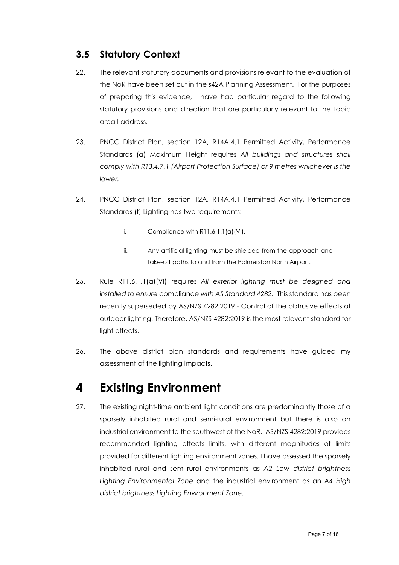### <span id="page-6-0"></span>**3.5 Statutory Context**

- 22. The relevant statutory documents and provisions relevant to the evaluation of the NoR have been set out in the s42A Planning Assessment. For the purposes of preparing this evidence, I have had particular regard to the following statutory provisions and direction that are particularly relevant to the topic area I address.
- 23. PNCC District Plan, section 12A, R14A.4.1 Permitted Activity, Performance Standards (a) Maximum Height requires *All buildings and structures shall comply with R13.4.7.1 (Airport Protection Surface) or 9 metres whichever is the lower.*
- 24. PNCC District Plan, section 12A, R14A.4.1 Permitted Activity, Performance Standards (f) Lighting has two requirements:
	- i. Compliance with  $R11.6.1.1(a)(VI)$ .
	- ii. Any artificial lighting must be shielded from the approach and take-off paths to and from the Palmerston North Airport.
- 25. Rule R11.6.1.1(a)(VI) requires *All exterior lighting must be designed and installed to ensure* compliance *with AS Standard 4282.* This standard has been recently superseded by AS/NZS 4282:2019 - Control of the obtrusive effects of outdoor lighting. Therefore, AS/NZS 4282:2019 is the most relevant standard for light effects.
- 26. The above district plan standards and requirements have guided my assessment of the lighting impacts.

## <span id="page-6-1"></span>**4 Existing Environment**

27. The existing night-time ambient light conditions are predominantly those of a sparsely inhabited rural and semi-rural environment but there is also an industrial environment to the southwest of the NoR. AS/NZS 4282:2019 provides recommended lighting effects limits, with different magnitudes of limits provided for different lighting environment zones. I have assessed the sparsely inhabited rural and semi-rural environments as *A2 Low district brightness Lighting Environmental Zone* and the industrial environment as an *A4 High district brightness Lighting Environment Zone.*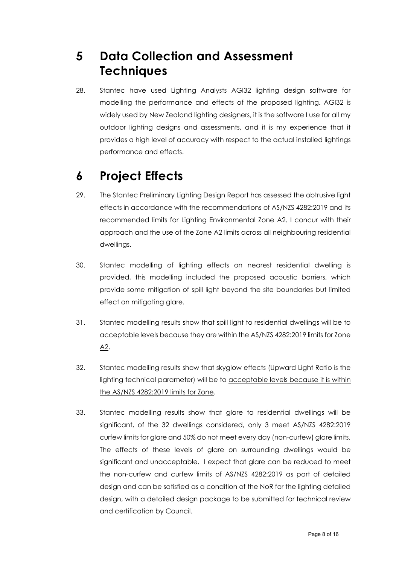# <span id="page-7-0"></span>**5 Data Collection and Assessment Techniques**

28. Stantec have used Lighting Analysts AGI32 lighting design software for modelling the performance and effects of the proposed lighting. AGI32 is widely used by New Zealand lighting designers, it is the software I use for all my outdoor lighting designs and assessments, and it is my experience that it provides a high level of accuracy with respect to the actual installed lightings performance and effects.

# <span id="page-7-1"></span>**6 Project Effects**

- 29. The Stantec Preliminary Lighting Design Report has assessed the obtrusive light effects in accordance with the recommendations of AS/NZS 4282:2019 and its recommended limits for Lighting Environmental Zone A2. I concur with their approach and the use of the Zone A2 limits across all neighbouring residential dwellings.
- 30. Stantec modelling of lighting effects on nearest residential dwelling is provided, this modelling included the proposed acoustic barriers, which provide some mitigation of spill light beyond the site boundaries but limited effect on mitigating glare.
- 31. Stantec modelling results show that spill light to residential dwellings will be to acceptable levels because they are within the AS/NZS 4282:2019 limits for Zone  $A2$ .
- 32. Stantec modelling results show that skyglow effects (Upward Light Ratio is the lighting technical parameter) will be to acceptable levels because it is within the AS/NZS 4282:2019 limits for Zone.
- 33. Stantec modelling results show that glare to residential dwellings will be significant, of the 32 dwellings considered, only 3 meet AS/NZS 4282:2019 curfew limits for glare and 50% do not meet every day (non-curfew) glare limits. The effects of these levels of glare on surrounding dwellings would be significant and unacceptable. I expect that glare can be reduced to meet the non-curfew and curfew limits of AS/NZS 4282:2019 as part of detailed design and can be satisfied as a condition of the NoR for the lighting detailed design, with a detailed design package to be submitted for technical review and certification by Council.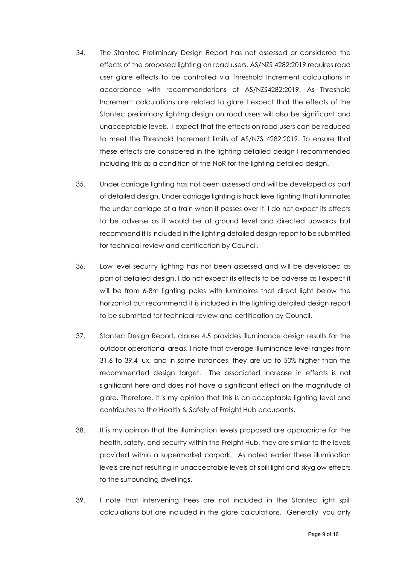- 34. The Stantec Preliminary Design Report has not assessed or considered the effects of the proposed lighting on road users. AS/NZS 4282:2019 requires road user glare effects to be controlled via Threshold Increment calculations in accordance with recommendations of AS/NZS4282:2019. As Threshold Increment calculations are related to glare I expect that the effects of the Stantec preliminary lighting design on road users will also be significant and unacceptable levels. I expect that the effects on road users can be reduced to meet the Threshold Increment limits of AS/NZS 4282:2019. To ensure that these effects are considered in the lighting detailed design I recommended including this as a condition of the NoR for the lighting detailed design.
- 35. Under carriage lighting has not been assessed and will be developed as part of detailed design. Under carriage lighting is track level lighting that illuminates the under carriage of a train when it passes over it. I do not expect its effects to be adverse as it would be at ground level and directed upwards but recommend it is included in the lighting detailed design report to be submitted for technical review and certification by Council.
- 36. Low level security lighting has not been assessed and will be developed as part of detailed design. I do not expect its effects to be adverse as I expect it will be from 6-8m lighting poles with luminaires that direct light below the horizontal but recommend it is included in the lighting detailed design report to be submitted for technical review and certification by Council.
- 37. Stantec Design Report, clause 4.5 provides illuminance design results for the outdoor operational areas. I note that average illuminance level ranges from 31.6 to 39.4 lux, and in some instances, they are up to 50% higher than the recommended design target. The associated increase in effects is not significant here and does not have a significant effect on the magnitude of glare. Therefore, it is my opinion that this is an acceptable lighting level and contributes to the Health & Safety of Freight Hub occupants.
- 38. It is my opinion that the illumination levels proposed are appropriate for the health, safety, and security within the Freight Hub, they are similar to the levels provided within a supermarket carpark. As noted earlier these illumination levels are not resulting in unacceptable levels of spill light and skyglow effects to the surrounding dwellings.
- 39. I note that intervening trees are not included in the Stantec light spill calculations but are included in the glare calculations. Generally, you only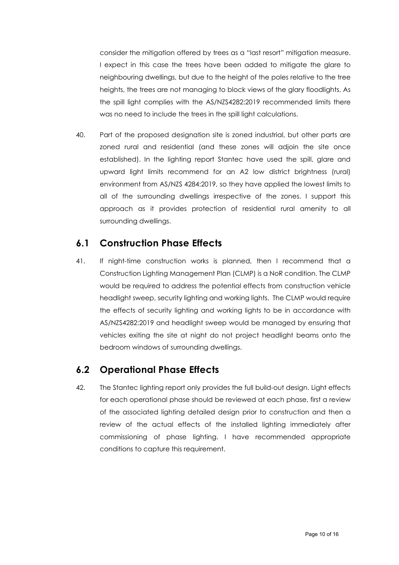consider the mitigation offered by trees as a "last resort" mitigation measure. I expect in this case the trees have been added to mitigate the glare to neighbouring dwellings, but due to the height of the poles relative to the tree heights, the trees are not managing to block views of the glary floodlights. As the spill light complies with the AS/NZS4282:2019 recommended limits there was no need to include the trees in the spill light calculations.

40. Part of the proposed designation site is zoned industrial, but other parts are zoned rural and residential (and these zones will adjoin the site once established). In the lighting report Stantec have used the spill, glare and upward light limits recommend for an A2 low district brightness (rural) environment from AS/NZS 4284:2019, so they have applied the lowest limits to all of the surrounding dwellings irrespective of the zones. I support this approach as it provides protection of residential rural amenity to all surrounding dwellings.

#### <span id="page-9-0"></span>**6.1 Construction Phase Effects**

41. If night-time construction works is planned, then I recommend that a Construction Lighting Management Plan (CLMP) is a NoR condition. The CLMP would be required to address the potential effects from construction vehicle headlight sweep, security lighting and working lights. The CLMP would require the effects of security lighting and working lights to be in accordance with AS/NZS4282:2019 and headlight sweep would be managed by ensuring that vehicles exiting the site at night do not project headlight beams onto the bedroom windows of surrounding dwellings.

#### <span id="page-9-1"></span>**6.2 Operational Phase Effects**

42. The Stantec lighting report only provides the full build-out design. Light effects for each operational phase should be reviewed at each phase, first a review of the associated lighting detailed design prior to construction and then a review of the actual effects of the installed lighting immediately after commissioning of phase lighting. I have recommended appropriate conditions to capture this requirement.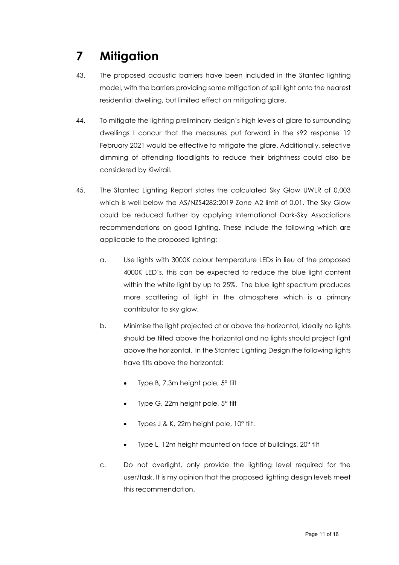# <span id="page-10-0"></span>**7 Mitigation**

- 43. The proposed acoustic barriers have been included in the Stantec lighting model, with the barriers providing some mitigation of spill light onto the nearest residential dwelling, but limited effect on mitigating glare.
- 44. To mitigate the lighting preliminary design's high levels of glare to surrounding dwellings I concur that the measures put forward in the s92 response 12 February 2021 would be effective to mitigate the glare. Additionally, selective dimming of offending floodlights to reduce their brightness could also be considered by Kiwirail.
- 45. The Stantec Lighting Report states the calculated Sky Glow UWLR of 0.003 which is well below the AS/NZS4282:2019 Zone A2 limit of 0.01. The Sky Glow could be reduced further by applying International Dark-Sky Associations recommendations on good lighting. These include the following which are applicable to the proposed lighting:
	- a. Use lights with 3000K colour temperature LEDs in lieu of the proposed 4000K LED's, this can be expected to reduce the blue light content within the white light by up to 25%. The blue light spectrum produces more scattering of light in the atmosphere which is a primary contributor to sky glow.
	- b. Minimise the light projected at or above the horizontal, ideally no lights should be tilted above the horizontal and no lights should project light above the horizontal. In the Stantec Lighting Design the following lights have tilts above the horizontal:
		- Type B, 7.3m height pole, 5° tilt
		- Type G, 22m height pole, 5° tilt
		- Types J & K, 22m height pole, 10° tilt.
		- Type L, 12m height mounted on face of buildings, 20° tilt
	- c. Do not overlight, only provide the lighting level required for the user/task. It is my opinion that the proposed lighting design levels meet this recommendation.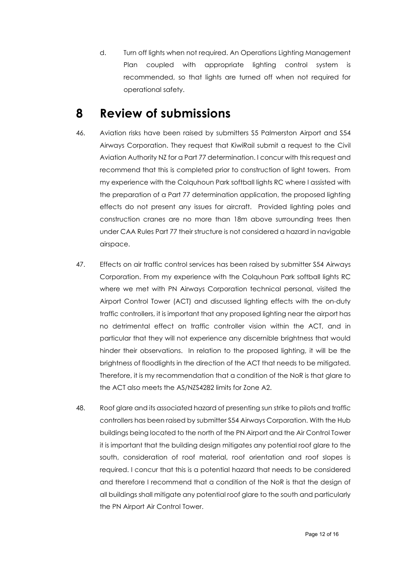d. Turn off lights when not required. An Operations Lighting Management Plan coupled with appropriate lighting control system is recommended, so that lights are turned off when not required for operational safety.

### <span id="page-11-0"></span>**8 Review of submissions**

- 46. Aviation risks have been raised by submitters S5 Palmerston Airport and S54 Airways Corporation. They request that KiwiRail submit a request to the Civil Aviation Authority NZ for a Part 77 determination. I concur with this request and recommend that this is completed prior to construction of light towers. From my experience with the Colquhoun Park softball lights RC where I assisted with the preparation of a Part 77 determination application, the proposed lighting effects do not present any issues for aircraft. Provided lighting poles and construction cranes are no more than 18m above surrounding trees then under CAA Rules Part 77 their structure is not considered a hazard in navigable airspace.
- 47. Effects on air traffic control services has been raised by submitter S54 Airways Corporation. From my experience with the Colquhoun Park softball lights RC where we met with PN Airways Corporation technical personal, visited the Airport Control Tower (ACT) and discussed lighting effects with the on-duty traffic controllers, it is important that any proposed lighting near the airport has no detrimental effect on traffic controller vision within the ACT, and in particular that they will not experience any discernible brightness that would hinder their observations. In relation to the proposed lighting, it will be the brightness of floodlights in the direction of the ACT that needs to be mitigated. Therefore, it is my recommendation that a condition of the NoR is that glare to the ACT also meets the AS/NZS4282 limits for Zone A2.
- 48. Roof glare and its associated hazard of presenting sun strike to pilots and traffic controllers has been raised by submitter S54 Airways Corporation. With the Hub buildings being located to the north of the PN Airport and the Air Control Tower it is important that the building design mitigates any potential roof glare to the south, consideration of roof material, roof orientation and roof slopes is required. I concur that this is a potential hazard that needs to be considered and therefore I recommend that a condition of the NoR is that the design of all buildings shall mitigate any potential roof glare to the south and particularly the PN Airport Air Control Tower.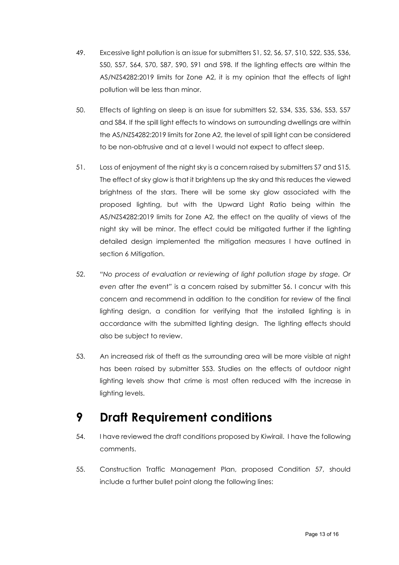- 49. Excessive light pollution is an issue for submitters S1, S2, S6, S7, S10, S22, S35, S36, S50, S57, S64, S70, S87, S90, S91 and S98. If the lighting effects are within the AS/NZS4282:2019 limits for Zone A2, it is my opinion that the effects of light pollution will be less than minor.
- 50. Effects of lighting on sleep is an issue for submitters S2, S34, S35, S36, S53, S57 and S84. If the spill light effects to windows on surrounding dwellings are within the AS/NZS4282:2019 limits for Zone A2, the level of spill light can be considered to be non-obtrusive and at a level I would not expect to affect sleep.
- 51. Loss of enjoyment of the night sky is a concern raised by submitters S7 and S15. The effect of sky glow is that it brightens up the sky and this reduces the viewed brightness of the stars. There will be some sky glow associated with the proposed lighting, but with the Upward Light Ratio being within the AS/NZS4282:2019 limits for Zone A2, the effect on the quality of views of the night sky will be minor. The effect could be mitigated further if the lighting detailed design implemented the mitigation measures I have outlined in section 6 Mitigation.
- 52. *"No process of evaluation or reviewing of light pollution stage by stage. Or even* after *the* event*"* is a concern raised by submitter S6. I concur with this concern and recommend in addition to the condition for review of the final lighting design, a condition for verifying that the installed lighting is in accordance with the submitted lighting design. The lighting effects should also be subject to review.
- 53. An increased risk of theft as the surrounding area will be more visible at night has been raised by submitter S53. Studies on the effects of outdoor night lighting levels show that crime is most often reduced with the increase in lighting levels.

### <span id="page-12-0"></span>**9 Draft Requirement conditions**

- 54. I have reviewed the draft conditions proposed by Kiwirail. I have the following comments.
- 55. Construction Traffic Management Plan, proposed Condition 57, should include a further bullet point along the following lines: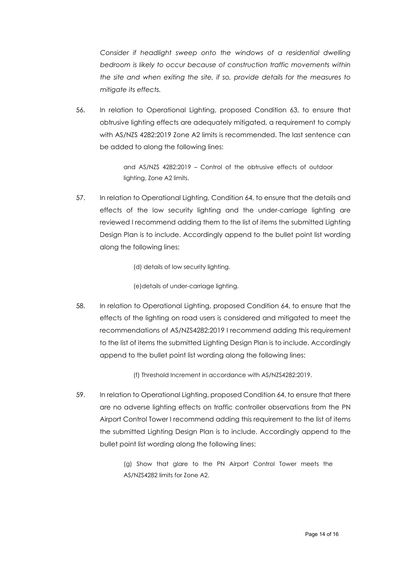*Consider if headlight sweep onto the windows of a residential dwelling bedroom is likely to occur because of construction traffic movements within the site and when exiting the site, if so, provide details for the measures to mitigate its effects.*

56. In relation to Operational Lighting, proposed Condition 63, to ensure that obtrusive lighting effects are adequately mitigated, a requirement to comply with AS/NZS 4282:2019 Zone A2 limits is recommended. The last sentence can be added to along the following lines:

> and AS/NZS 4282:2019 – Control of the obtrusive effects of outdoor lighting, Zone A2 limits.

- 57. In relation to Operational Lighting, Condition 64, to ensure that the details and effects of the low security lighting and the under-carriage lighting are reviewed I recommend adding them to the list of items the submitted Lighting Design Plan is to include. Accordingly append to the bullet point list wording along the following lines:
	- (d) details of low security lighting.

(e)details of under-carriage lighting.

58. In relation to Operational Lighting, proposed Condition 64, to ensure that the effects of the lighting on road users is considered and mitigated to meet the recommendations of AS/NZS4282:2019 I recommend adding this requirement to the list of items the submitted Lighting Design Plan is to include. Accordingly append to the bullet point list wording along the following lines:

(f) Threshold Increment in accordance with AS/NZS4282:2019.

59. In relation to Operational Lighting, proposed Condition 64, to ensure that there are no adverse lighting effects on traffic controller observations from the PN Airport Control Tower I recommend adding this requirement to the list of items the submitted Lighting Design Plan is to include. Accordingly append to the bullet point list wording along the following lines:

> (g) Show that glare to the PN Airport Control Tower meets the AS/NZS4282 limits for Zone A2.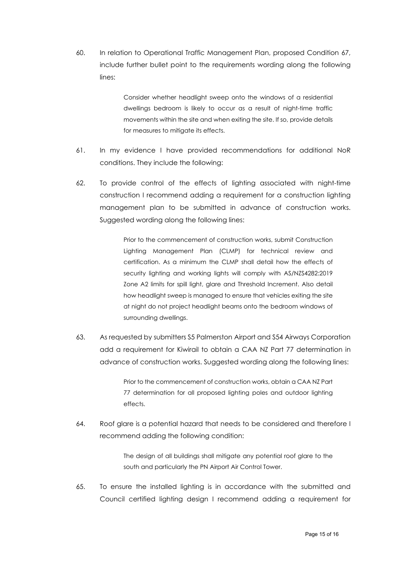60. In relation to Operational Traffic Management Plan, proposed Condition 67, include further bullet point to the requirements wording along the following lines:

> Consider whether headlight sweep onto the windows of a residential dwellings bedroom is likely to occur as a result of night-time traffic movements within the site and when exiting the site. If so, provide details for measures to mitigate its effects.

- 61. In my evidence I have provided recommendations for additional NoR conditions. They include the following:
- 62. To provide control of the effects of lighting associated with night-time construction I recommend adding a requirement for a construction lighting management plan to be submitted in advance of construction works. Suggested wording along the following lines:

Prior to the commencement of construction works, submit Construction Lighting Management Plan (CLMP) for technical review and certification. As a minimum the CLMP shall detail how the effects of security lighting and working lights will comply with AS/NZS4282:2019 Zone A2 limits for spill light, glare and Threshold Increment. Also detail how headlight sweep is managed to ensure that vehicles exiting the site at night do not project headlight beams onto the bedroom windows of surrounding dwellings.

63. As requested by submitters S5 Palmerston Airport and S54 Airways Corporation add a requirement for Kiwirail to obtain a CAA NZ Part 77 determination in advance of construction works. Suggested wording along the following lines:

> Prior to the commencement of construction works, obtain a CAA NZ Part 77 determination for all proposed lighting poles and outdoor lighting effects.

64. Roof glare is a potential hazard that needs to be considered and therefore I recommend adding the following condition:

> The design of all buildings shall mitigate any potential roof glare to the south and particularly the PN Airport Air Control Tower.

65. To ensure the installed lighting is in accordance with the submitted and Council certified lighting design I recommend adding a requirement for